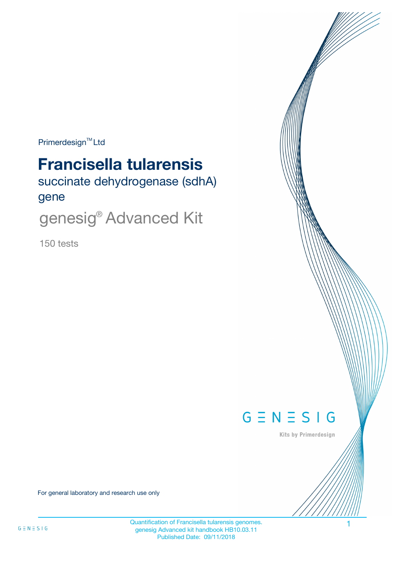$Primerdesign^{\text{TM}}$ Ltd

# **Francisella tularensis**

succinate dehydrogenase (sdhA) gene

genesig® Advanced Kit

150 tests



Kits by Primerdesign

For general laboratory and research use only

Quantification of Francisella tularensis genomes. 1 genesig Advanced kit handbook HB10.03.11 Published Date: 09/11/2018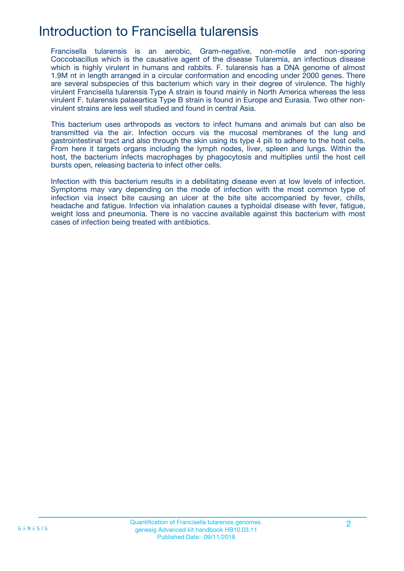## Introduction to Francisella tularensis

Francisella tularensis is an aerobic, Gram-negative, non-motile and non-sporing Coccobacillus which is the causative agent of the disease Tularemia, an infectious disease which is highly virulent in humans and rabbits. F. tularensis has a DNA genome of almost 1.9M nt in length arranged in a circular conformation and encoding under 2000 genes. There are several subspecies of this bacterium which vary in their degree of virulence. The highly virulent Francisella tularensis Type A strain is found mainly in North America whereas the less virulent F. tularensis palaeartica Type B strain is found in Europe and Eurasia. Two other nonvirulent strains are less well studied and found in central Asia.

This bacterium uses arthropods as vectors to infect humans and animals but can also be transmitted via the air. Infection occurs via the mucosal membranes of the lung and gastrointestinal tract and also through the skin using its type 4 pili to adhere to the host cells. From here it targets organs including the lymph nodes, liver, spleen and lungs. Within the host, the bacterium infects macrophages by phagocytosis and multiplies until the host cell bursts open, releasing bacteria to infect other cells.

Infection with this bacterium results in a debilitating disease even at low levels of infection. Symptoms may vary depending on the mode of infection with the most common type of infection via insect bite causing an ulcer at the bite site accompanied by fever, chills, headache and fatigue. Infection via inhalation causes a typhoidal disease with fever, fatigue, weight loss and pneumonia. There is no vaccine available against this bacterium with most cases of infection being treated with antibiotics.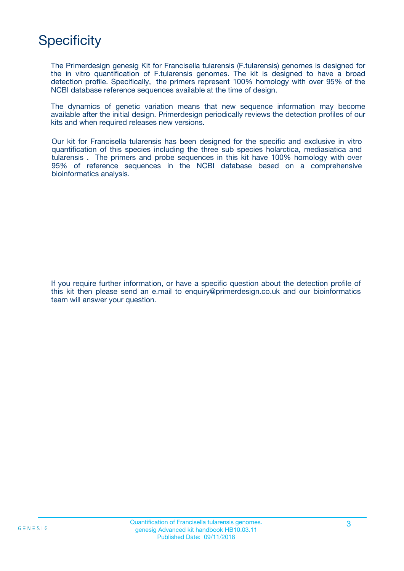## **Specificity**

The Primerdesign genesig Kit for Francisella tularensis (F.tularensis) genomes is designed for the in vitro quantification of F.tularensis genomes. The kit is designed to have a broad detection profile. Specifically, the primers represent 100% homology with over 95% of the NCBI database reference sequences available at the time of design.

The dynamics of genetic variation means that new sequence information may become available after the initial design. Primerdesign periodically reviews the detection profiles of our kits and when required releases new versions.

Our kit for Francisella tularensis has been designed for the specific and exclusive in vitro quantification of this species including the three sub species holarctica, mediasiatica and tularensis . The primers and probe sequences in this kit have 100% homology with over 95% of reference sequences in the NCBI database based on a comprehensive bioinformatics analysis.

If you require further information, or have a specific question about the detection profile of this kit then please send an e.mail to enquiry@primerdesign.co.uk and our bioinformatics team will answer your question.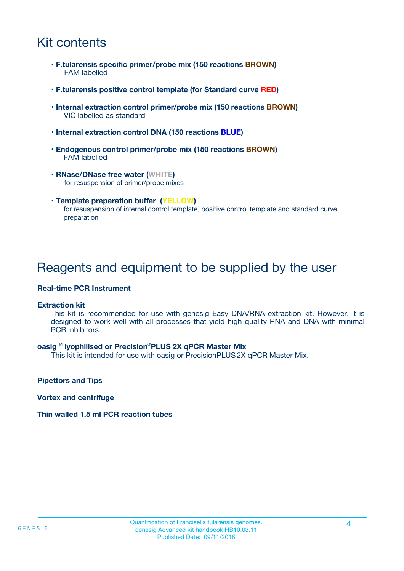## Kit contents

- **F.tularensis specific primer/probe mix (150 reactions BROWN)** FAM labelled
- **F.tularensis positive control template (for Standard curve RED)**
- **Internal extraction control primer/probe mix (150 reactions BROWN)** VIC labelled as standard
- **Internal extraction control DNA (150 reactions BLUE)**
- **Endogenous control primer/probe mix (150 reactions BROWN)** FAM labelled
- **RNase/DNase free water (WHITE)** for resuspension of primer/probe mixes
- **Template preparation buffer (YELLOW)** for resuspension of internal control template, positive control template and standard curve preparation

### Reagents and equipment to be supplied by the user

#### **Real-time PCR Instrument**

#### **Extraction kit**

This kit is recommended for use with genesig Easy DNA/RNA extraction kit. However, it is designed to work well with all processes that yield high quality RNA and DNA with minimal PCR inhibitors.

#### **oasig**TM **lyophilised or Precision**®**PLUS 2X qPCR Master Mix**

This kit is intended for use with oasig or PrecisionPLUS2X qPCR Master Mix.

**Pipettors and Tips**

**Vortex and centrifuge**

#### **Thin walled 1.5 ml PCR reaction tubes**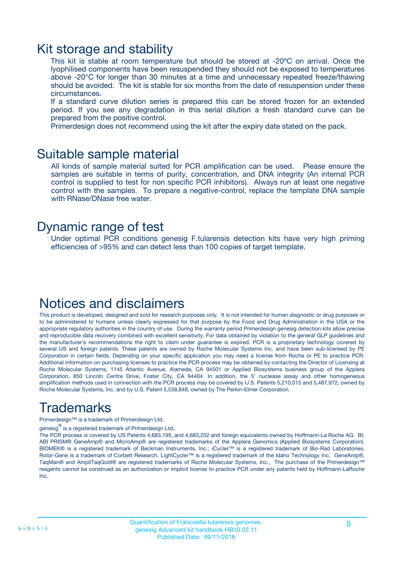### Kit storage and stability

This kit is stable at room temperature but should be stored at -20ºC on arrival. Once the lyophilised components have been resuspended they should not be exposed to temperatures above -20°C for longer than 30 minutes at a time and unnecessary repeated freeze/thawing should be avoided. The kit is stable for six months from the date of resuspension under these circumstances.

If a standard curve dilution series is prepared this can be stored frozen for an extended period. If you see any degradation in this serial dilution a fresh standard curve can be prepared from the positive control.

Primerdesign does not recommend using the kit after the expiry date stated on the pack.

### Suitable sample material

All kinds of sample material suited for PCR amplification can be used. Please ensure the samples are suitable in terms of purity, concentration, and DNA integrity (An internal PCR control is supplied to test for non specific PCR inhibitors). Always run at least one negative control with the samples. To prepare a negative-control, replace the template DNA sample with RNase/DNase free water.

### Dynamic range of test

Under optimal PCR conditions genesig F.tularensis detection kits have very high priming efficiencies of >95% and can detect less than 100 copies of target template.

### Notices and disclaimers

This product is developed, designed and sold for research purposes only. It is not intended for human diagnostic or drug purposes or to be administered to humans unless clearly expressed for that purpose by the Food and Drug Administration in the USA or the appropriate regulatory authorities in the country of use. During the warranty period Primerdesign genesig detection kits allow precise and reproducible data recovery combined with excellent sensitivity. For data obtained by violation to the general GLP guidelines and the manufacturer's recommendations the right to claim under guarantee is expired. PCR is a proprietary technology covered by several US and foreign patents. These patents are owned by Roche Molecular Systems Inc. and have been sub-licensed by PE Corporation in certain fields. Depending on your specific application you may need a license from Roche or PE to practice PCR. Additional information on purchasing licenses to practice the PCR process may be obtained by contacting the Director of Licensing at Roche Molecular Systems, 1145 Atlantic Avenue, Alameda, CA 94501 or Applied Biosystems business group of the Applera Corporation, 850 Lincoln Centre Drive, Foster City, CA 94404. In addition, the 5' nuclease assay and other homogeneous amplification methods used in connection with the PCR process may be covered by U.S. Patents 5,210,015 and 5,487,972, owned by Roche Molecular Systems, Inc, and by U.S. Patent 5,538,848, owned by The Perkin-Elmer Corporation.

## Trademarks

Primerdesign™ is a trademark of Primerdesign Ltd.

genesig $^\circledR$  is a registered trademark of Primerdesign Ltd.

The PCR process is covered by US Patents 4,683,195, and 4,683,202 and foreign equivalents owned by Hoffmann-La Roche AG. BI, ABI PRISM® GeneAmp® and MicroAmp® are registered trademarks of the Applera Genomics (Applied Biosystems Corporation). BIOMEK® is a registered trademark of Beckman Instruments, Inc.; iCycler™ is a registered trademark of Bio-Rad Laboratories, Rotor-Gene is a trademark of Corbett Research. LightCycler™ is a registered trademark of the Idaho Technology Inc. GeneAmp®, TaqMan® and AmpliTaqGold® are registered trademarks of Roche Molecular Systems, Inc., The purchase of the Primerdesign™ reagents cannot be construed as an authorization or implicit license to practice PCR under any patents held by Hoffmann-LaRoche Inc.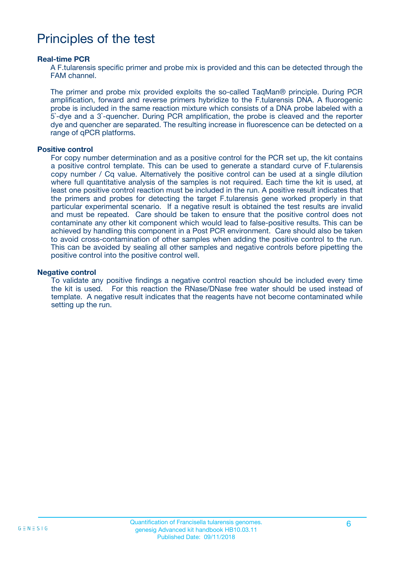## Principles of the test

#### **Real-time PCR**

A F.tularensis specific primer and probe mix is provided and this can be detected through the FAM channel.

The primer and probe mix provided exploits the so-called TaqMan® principle. During PCR amplification, forward and reverse primers hybridize to the F.tularensis DNA. A fluorogenic probe is included in the same reaction mixture which consists of a DNA probe labeled with a 5`-dye and a 3`-quencher. During PCR amplification, the probe is cleaved and the reporter dye and quencher are separated. The resulting increase in fluorescence can be detected on a range of qPCR platforms.

#### **Positive control**

For copy number determination and as a positive control for the PCR set up, the kit contains a positive control template. This can be used to generate a standard curve of F.tularensis copy number / Cq value. Alternatively the positive control can be used at a single dilution where full quantitative analysis of the samples is not required. Each time the kit is used, at least one positive control reaction must be included in the run. A positive result indicates that the primers and probes for detecting the target F.tularensis gene worked properly in that particular experimental scenario. If a negative result is obtained the test results are invalid and must be repeated. Care should be taken to ensure that the positive control does not contaminate any other kit component which would lead to false-positive results. This can be achieved by handling this component in a Post PCR environment. Care should also be taken to avoid cross-contamination of other samples when adding the positive control to the run. This can be avoided by sealing all other samples and negative controls before pipetting the positive control into the positive control well.

#### **Negative control**

To validate any positive findings a negative control reaction should be included every time the kit is used. For this reaction the RNase/DNase free water should be used instead of template. A negative result indicates that the reagents have not become contaminated while setting up the run.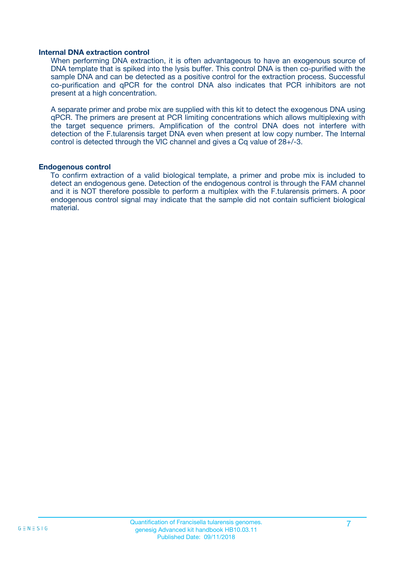#### **Internal DNA extraction control**

When performing DNA extraction, it is often advantageous to have an exogenous source of DNA template that is spiked into the lysis buffer. This control DNA is then co-purified with the sample DNA and can be detected as a positive control for the extraction process. Successful co-purification and qPCR for the control DNA also indicates that PCR inhibitors are not present at a high concentration.

A separate primer and probe mix are supplied with this kit to detect the exogenous DNA using qPCR. The primers are present at PCR limiting concentrations which allows multiplexing with the target sequence primers. Amplification of the control DNA does not interfere with detection of the F.tularensis target DNA even when present at low copy number. The Internal control is detected through the VIC channel and gives a Cq value of 28+/-3.

#### **Endogenous control**

To confirm extraction of a valid biological template, a primer and probe mix is included to detect an endogenous gene. Detection of the endogenous control is through the FAM channel and it is NOT therefore possible to perform a multiplex with the F.tularensis primers. A poor endogenous control signal may indicate that the sample did not contain sufficient biological material.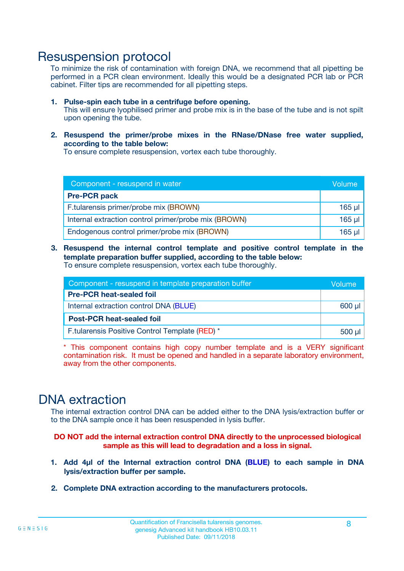### Resuspension protocol

To minimize the risk of contamination with foreign DNA, we recommend that all pipetting be performed in a PCR clean environment. Ideally this would be a designated PCR lab or PCR cabinet. Filter tips are recommended for all pipetting steps.

- **1. Pulse-spin each tube in a centrifuge before opening.** This will ensure lyophilised primer and probe mix is in the base of the tube and is not spilt upon opening the tube.
- **2. Resuspend the primer/probe mixes in the RNase/DNase free water supplied, according to the table below:**

To ensure complete resuspension, vortex each tube thoroughly.

| Component - resuspend in water                       |         |  |
|------------------------------------------------------|---------|--|
| <b>Pre-PCR pack</b>                                  |         |  |
| F.tularensis primer/probe mix (BROWN)                | $165$ µ |  |
| Internal extraction control primer/probe mix (BROWN) | $165$ µ |  |
| Endogenous control primer/probe mix (BROWN)          | 165 µl  |  |

**3. Resuspend the internal control template and positive control template in the template preparation buffer supplied, according to the table below:** To ensure complete resuspension, vortex each tube thoroughly.

| Component - resuspend in template preparation buffer |  |  |  |
|------------------------------------------------------|--|--|--|
| <b>Pre-PCR heat-sealed foil</b>                      |  |  |  |
| Internal extraction control DNA (BLUE)               |  |  |  |
| <b>Post-PCR heat-sealed foil</b>                     |  |  |  |
| F.tularensis Positive Control Template (RED) *       |  |  |  |

\* This component contains high copy number template and is a VERY significant contamination risk. It must be opened and handled in a separate laboratory environment, away from the other components.

### DNA extraction

The internal extraction control DNA can be added either to the DNA lysis/extraction buffer or to the DNA sample once it has been resuspended in lysis buffer.

**DO NOT add the internal extraction control DNA directly to the unprocessed biological sample as this will lead to degradation and a loss in signal.**

- **1. Add 4µl of the Internal extraction control DNA (BLUE) to each sample in DNA lysis/extraction buffer per sample.**
- **2. Complete DNA extraction according to the manufacturers protocols.**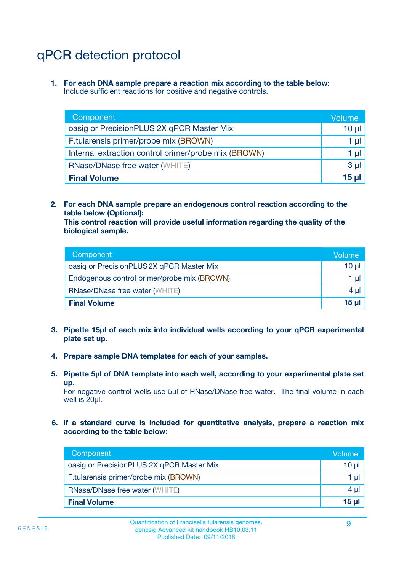## qPCR detection protocol

**1. For each DNA sample prepare a reaction mix according to the table below:** Include sufficient reactions for positive and negative controls.

| Component                                            | Volume   |
|------------------------------------------------------|----------|
| oasig or PrecisionPLUS 2X qPCR Master Mix            | $10 \mu$ |
| F.tularensis primer/probe mix (BROWN)                | 1 µI     |
| Internal extraction control primer/probe mix (BROWN) | 1 µl     |
| <b>RNase/DNase free water (WHITE)</b>                | $3 \mu$  |
| <b>Final Volume</b>                                  | 15 µl    |

**2. For each DNA sample prepare an endogenous control reaction according to the table below (Optional):**

**This control reaction will provide useful information regarding the quality of the biological sample.**

| Component                                   | Volume   |
|---------------------------------------------|----------|
| oasig or PrecisionPLUS 2X qPCR Master Mix   | $10 \mu$ |
| Endogenous control primer/probe mix (BROWN) | 1 µI     |
| <b>RNase/DNase free water (WHITE)</b>       | $4 \mu$  |
| <b>Final Volume</b>                         | 15 µl    |

- **3. Pipette 15µl of each mix into individual wells according to your qPCR experimental plate set up.**
- **4. Prepare sample DNA templates for each of your samples.**
- **5. Pipette 5µl of DNA template into each well, according to your experimental plate set up.**

For negative control wells use 5µl of RNase/DNase free water. The final volume in each well is 20ul.

**6. If a standard curve is included for quantitative analysis, prepare a reaction mix according to the table below:**

| Component                                 | Volume          |
|-------------------------------------------|-----------------|
| oasig or PrecisionPLUS 2X qPCR Master Mix | 10 $\mu$        |
| F.tularensis primer/probe mix (BROWN)     | 1 µI -          |
| <b>RNase/DNase free water (WHITE)</b>     | 4 µl            |
| <b>Final Volume</b>                       | 15 <sub>µ</sub> |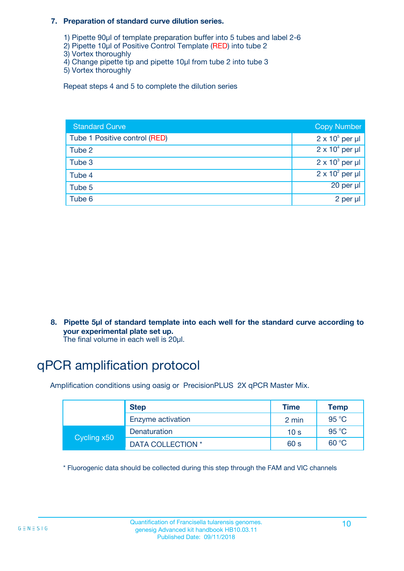#### **7. Preparation of standard curve dilution series.**

- 1) Pipette 90µl of template preparation buffer into 5 tubes and label 2-6
- 2) Pipette 10µl of Positive Control Template (RED) into tube 2
- 3) Vortex thoroughly
- 4) Change pipette tip and pipette 10µl from tube 2 into tube 3
- 5) Vortex thoroughly

Repeat steps 4 and 5 to complete the dilution series

| <b>Standard Curve</b>         | <b>Copy Number</b>     |
|-------------------------------|------------------------|
| Tube 1 Positive control (RED) | $2 \times 10^5$ per µl |
| Tube 2                        | $2 \times 10^4$ per µl |
| Tube 3                        | $2 \times 10^3$ per µl |
| Tube 4                        | $2 \times 10^2$ per µl |
| Tube 5                        | 20 per µl              |
| Tube 6                        | 2 per µl               |

**8. Pipette 5µl of standard template into each well for the standard curve according to your experimental plate set up.**

#### The final volume in each well is 20µl.

## qPCR amplification protocol

Amplification conditions using oasig or PrecisionPLUS 2X qPCR Master Mix.

|             | <b>Step</b>       | <b>Time</b>     | Temp    |
|-------------|-------------------|-----------------|---------|
|             | Enzyme activation | 2 min           | 95 °C   |
| Cycling x50 | Denaturation      | 10 <sub>s</sub> | 95 $°C$ |
|             | DATA COLLECTION * | 60 s            | 60 °C   |

\* Fluorogenic data should be collected during this step through the FAM and VIC channels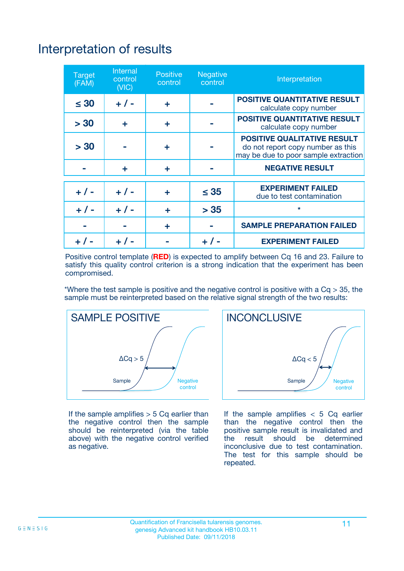## Interpretation of results

| <b>Target</b><br>(FAM) | <b>Internal</b><br>control<br>(NIC) | <b>Positive</b><br>control | <b>Negative</b><br>control | Interpretation                                                                                                  |
|------------------------|-------------------------------------|----------------------------|----------------------------|-----------------------------------------------------------------------------------------------------------------|
| $\leq 30$              | $+ 1 -$                             | ÷                          |                            | <b>POSITIVE QUANTITATIVE RESULT</b><br>calculate copy number                                                    |
| > 30                   | ٠                                   | ÷                          |                            | <b>POSITIVE QUANTITATIVE RESULT</b><br>calculate copy number                                                    |
| > 30                   |                                     | ÷                          |                            | <b>POSITIVE QUALITATIVE RESULT</b><br>do not report copy number as this<br>may be due to poor sample extraction |
|                        | ÷                                   | ÷                          |                            | <b>NEGATIVE RESULT</b>                                                                                          |
| $+ 1 -$                | $+ 1 -$                             | ÷                          | $\leq$ 35                  | <b>EXPERIMENT FAILED</b><br>due to test contamination                                                           |
| $+$ / -                | $+ 1 -$                             | ÷                          | > 35                       | $\star$                                                                                                         |
|                        |                                     | ÷                          |                            | <b>SAMPLE PREPARATION FAILED</b>                                                                                |
|                        |                                     |                            | $+$ /                      | <b>EXPERIMENT FAILED</b>                                                                                        |

Positive control template (**RED**) is expected to amplify between Cq 16 and 23. Failure to satisfy this quality control criterion is a strong indication that the experiment has been compromised.

\*Where the test sample is positive and the negative control is positive with a  $Ca > 35$ , the sample must be reinterpreted based on the relative signal strength of the two results:



If the sample amplifies  $> 5$  Cq earlier than the negative control then the sample should be reinterpreted (via the table above) with the negative control verified as negative.



If the sample amplifies  $< 5$  Cq earlier than the negative control then the positive sample result is invalidated and<br>the result should be determined  $the$  result should be inconclusive due to test contamination. The test for this sample should be repeated.